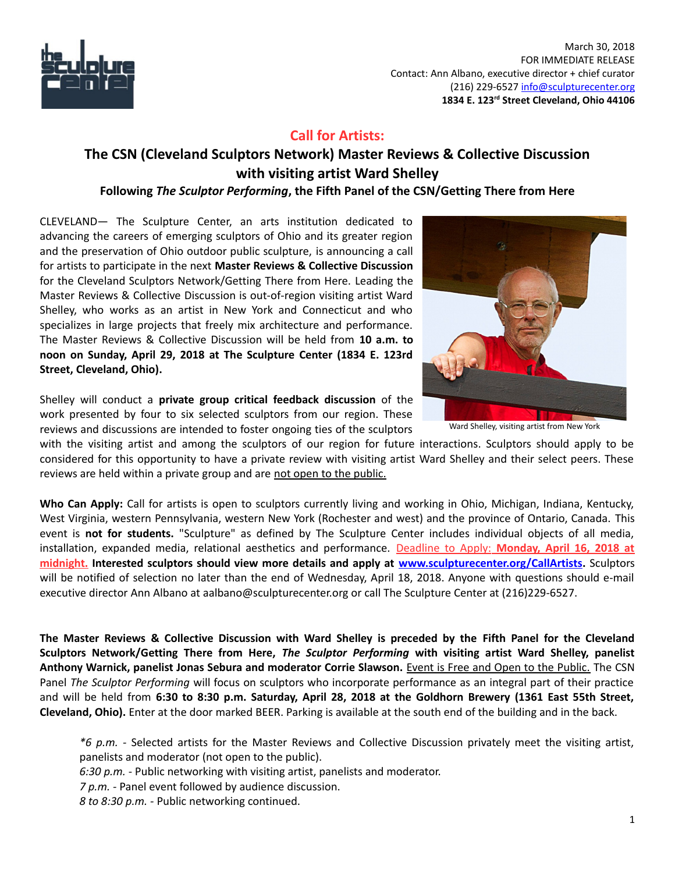

 March 30, 2018 FOR IMMEDIATE RELEASE Contact: Ann Albano, executive director + chief curator (216) 229-6527 [info@sculpturecenter.org](mailto:info@sculpturecenter.org) **1834 E. 123rd Street Cleveland, Ohio 44106**

## **Call for Artists:**

# **The CSN (Cleveland Sculptors Network) Master Reviews & Collective Discussion with visiting artist Ward Shelley**

## **Following** *The Sculptor Performing***, the Fifth Panel of the CSN/Getting There from Here**

CLEVELAND— The Sculpture Center, an arts institution dedicated to advancing the careers of emerging sculptors of Ohio and its greater region and the preservation of Ohio outdoor public sculpture, is announcing a call for artists to participate in the next **Master Reviews & Collective Discussion** for the Cleveland Sculptors Network/Getting There from Here. Leading the Master Reviews & Collective Discussion is out-of-region visiting artist Ward Shelley, who works as an artist in New York and Connecticut and who specializes in large projects that freely mix architecture and performance. The Master Reviews & Collective Discussion will be held from **10 a.m. to noon on Sunday, April 29, 2018 at The Sculpture Center (1834 E. 123rd Street, Cleveland, Ohio).**

Shelley will conduct a **private group critical feedback discussion** of the work presented by four to six selected sculptors from our region. These reviews and discussions are intended to foster ongoing ties of the sculptors



Ward Shelley, visiting artist from New York

with the visiting artist and among the sculptors of our region for future interactions. Sculptors should apply to be considered for this opportunity to have a private review with visiting artist Ward Shelley and their select peers. These reviews are held within a private group and are not open to the public.

**Who Can Apply:** Call for artists is open to sculptors currently living and working in Ohio, Michigan, Indiana, Kentucky, West Virginia, western Pennsylvania, western New York (Rochester and west) and the province of Ontario, Canada. This event is **not for students.** "Sculpture" as defined by The Sculpture Center includes individual objects of all media, installation, expanded media, relational aesthetics and performance. Deadline to Apply: **Monday, April 16, 2018 at midnight. Interested sculptors should view more details and apply at [www.sculpturecenter.org/CallArtists.](http://www.sculpturecenter.org/callartists)** Sculptors will be notified of selection no later than the end of Wednesday, April 18, 2018. Anyone with questions should e-mail executive director Ann Albano at aalbano@sculpturecenter.org or call The Sculpture Center at (216)229-6527.

**The Master Reviews & Collective Discussion with Ward Shelley is preceded by the Fifth Panel for the Cleveland Sculptors Network/Getting There from Here,** *The Sculptor Performing* **with visiting artist Ward Shelley, panelist Anthony Warnick, panelist Jonas Sebura and moderator Corrie Slawson.** Event is Free and Open to the Public. The CSN Panel *The Sculptor Performing* will focus on sculptors who incorporate performance as an integral part of their practice and will be held from **6:30 to 8:30 p.m. Saturday, April 28, 2018 at the Goldhorn Brewery (1361 East 55th Street, Cleveland, Ohio).** Enter at the door marked BEER. Parking is available at the south end of the building and in the back.

*\*6 p.m. -* Selected artists for the Master Reviews and Collective Discussion privately meet the visiting artist, panelists and moderator (not open to the public).

*6:30 p.m.* - Public networking with visiting artist, panelists and moderator.

*7 p.m. -* Panel event followed by audience discussion.

*8 to 8:30 p.m. -* Public networking continued.